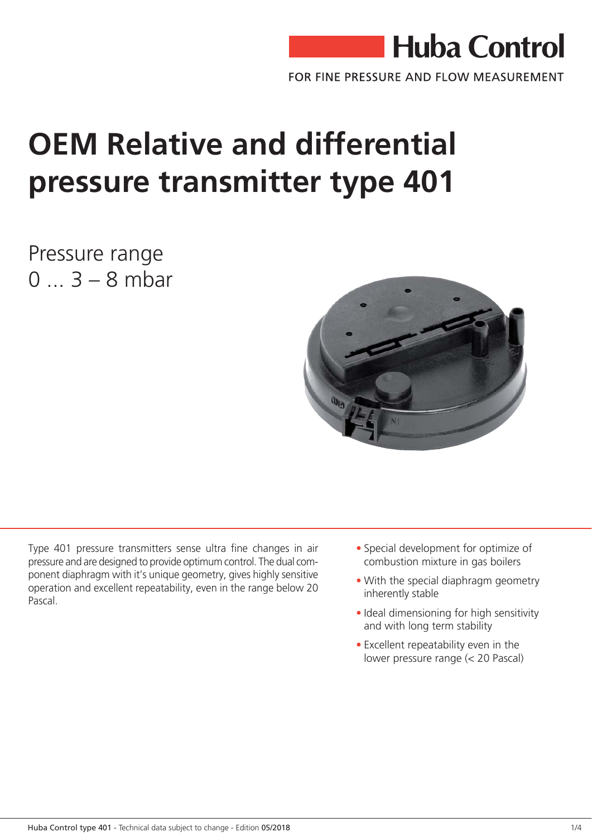

FOR FINE PRESSURE AND FLOW MEASUREMENT

## **OEM Relative and differential** pressure transmitter type 401

Pressure range  $0...3 - 8$  mbar



Type 401 pressure transmitters sense ultra fine changes in air pressure and are designed to provide optimum control. The dual component diaphragm with it's unique geometry, gives highly sensitive operation and excellent repeatability, even in the range below 20 Pascal

- Special development for optimize of combustion mixture in gas boilers
- With the special diaphragm geometry inherently stable
- · Ideal dimensioning for high sensitivity and with long term stability
- Excellent repeatability even in the lower pressure range (< 20 Pascal)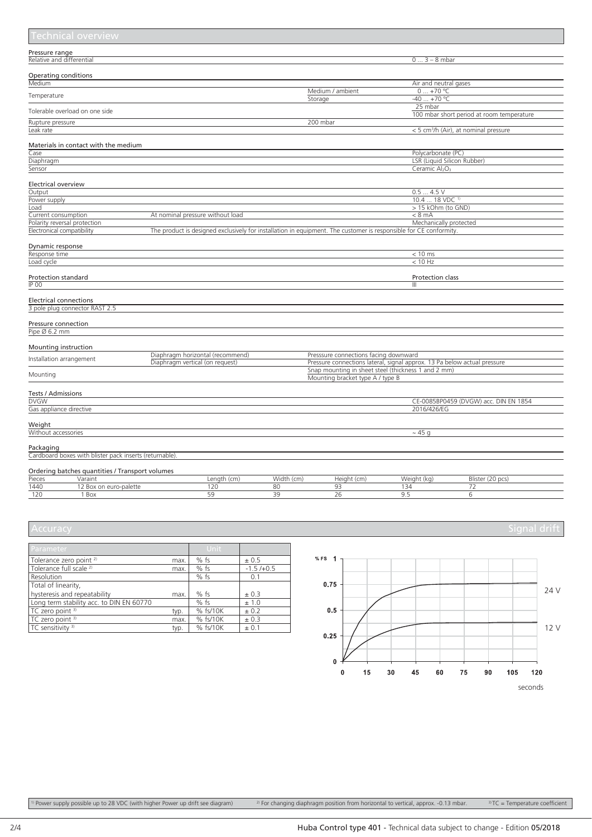|                     | <b>Technical overview</b>                              |                                                                                                                   |            |                                                                          |                                        |                                                   |
|---------------------|--------------------------------------------------------|-------------------------------------------------------------------------------------------------------------------|------------|--------------------------------------------------------------------------|----------------------------------------|---------------------------------------------------|
| Pressure range      |                                                        |                                                                                                                   |            |                                                                          |                                        |                                                   |
|                     | Relative and differential                              |                                                                                                                   |            |                                                                          | $03 - 8$ mbar                          |                                                   |
|                     | <b>Operating conditions</b>                            |                                                                                                                   |            |                                                                          |                                        |                                                   |
| Medium              |                                                        |                                                                                                                   |            |                                                                          | Air and neutral gases                  |                                                   |
|                     |                                                        |                                                                                                                   |            | Medium / ambient                                                         | $0+70 °C$                              |                                                   |
| Temperature         |                                                        |                                                                                                                   |            | Storage                                                                  | $-40+70$ °C                            |                                                   |
|                     |                                                        |                                                                                                                   |            |                                                                          | 25 mbar                                |                                                   |
|                     | Tolerable overload on one side                         |                                                                                                                   |            |                                                                          |                                        | 100 mbar short period at room temperature         |
| Rupture pressure    |                                                        |                                                                                                                   |            | 200 mbar                                                                 |                                        |                                                   |
| Leak rate           |                                                        |                                                                                                                   |            |                                                                          |                                        | < 5 cm <sup>3</sup> /h (Air), at nominal pressure |
|                     |                                                        |                                                                                                                   |            |                                                                          |                                        |                                                   |
|                     | Materials in contact with the medium                   |                                                                                                                   |            |                                                                          |                                        |                                                   |
| Case                |                                                        |                                                                                                                   |            |                                                                          | Polycarbonate (PC)                     |                                                   |
| Diaphragm           |                                                        |                                                                                                                   |            |                                                                          | LSR (Liquid Silicon Rubber)            |                                                   |
| Sensor              |                                                        |                                                                                                                   |            |                                                                          | Ceramic Al <sub>2</sub> O <sub>z</sub> |                                                   |
|                     |                                                        |                                                                                                                   |            |                                                                          |                                        |                                                   |
| Electrical overview |                                                        |                                                                                                                   |            |                                                                          |                                        |                                                   |
| Output              |                                                        |                                                                                                                   |            |                                                                          | 0.54.5V                                |                                                   |
| Power supply        |                                                        |                                                                                                                   |            |                                                                          | $10.418$ VDC <sup>1)</sup>             |                                                   |
| Load                |                                                        |                                                                                                                   |            |                                                                          | > 15 kOhm (to GND)                     |                                                   |
| Current consumption |                                                        | At nominal pressure without load                                                                                  |            |                                                                          | $< 8$ mA                               |                                                   |
|                     | Polarity reversal protection                           |                                                                                                                   |            |                                                                          | Mechanically protected                 |                                                   |
|                     | Electronical compatibility                             | The product is designed exclusively for installation in equipment. The customer is responsible for CE conformity. |            |                                                                          |                                        |                                                   |
|                     |                                                        |                                                                                                                   |            |                                                                          |                                        |                                                   |
| Dynamic response    |                                                        |                                                                                                                   |            |                                                                          |                                        |                                                   |
| Response time       |                                                        |                                                                                                                   |            |                                                                          | $< 10$ ms                              |                                                   |
| Load cycle          |                                                        |                                                                                                                   |            |                                                                          | < 10 Hz                                |                                                   |
|                     |                                                        |                                                                                                                   |            |                                                                          |                                        |                                                   |
| Protection standard |                                                        |                                                                                                                   |            |                                                                          | Protection class                       |                                                   |
| IP 00               |                                                        |                                                                                                                   |            |                                                                          | Ш                                      |                                                   |
|                     |                                                        |                                                                                                                   |            |                                                                          |                                        |                                                   |
|                     | <b>Electrical connections</b>                          |                                                                                                                   |            |                                                                          |                                        |                                                   |
|                     | 3 pole plug connector RAST 2.5                         |                                                                                                                   |            |                                                                          |                                        |                                                   |
|                     |                                                        |                                                                                                                   |            |                                                                          |                                        |                                                   |
| Pressure connection |                                                        |                                                                                                                   |            |                                                                          |                                        |                                                   |
| Pipe Ø 6.2 mm       |                                                        |                                                                                                                   |            |                                                                          |                                        |                                                   |
|                     |                                                        |                                                                                                                   |            |                                                                          |                                        |                                                   |
|                     | Mounting instruction                                   | Diaphragm horizontal (recommend)                                                                                  |            | Presssure connections facing downward                                    |                                        |                                                   |
|                     | Installation arrangement                               | Diaphragm vertical (on request)                                                                                   |            | Pressure connections lateral, signal approx. 13 Pa below actual pressure |                                        |                                                   |
|                     |                                                        |                                                                                                                   |            | Snap mounting in sheet steel (thickness 1 and 2 mm)                      |                                        |                                                   |
| Mounting            |                                                        |                                                                                                                   |            | Mounting bracket type A / type B                                         |                                        |                                                   |
|                     |                                                        |                                                                                                                   |            |                                                                          |                                        |                                                   |
| Tests / Admissions  |                                                        |                                                                                                                   |            |                                                                          |                                        |                                                   |
| <b>DVGW</b>         |                                                        |                                                                                                                   |            |                                                                          |                                        | CE-0085BP0459 (DVGW) acc. DIN EN 1854             |
|                     | Gas appliance directive                                |                                                                                                                   |            |                                                                          | 2016/426/EG                            |                                                   |
|                     |                                                        |                                                                                                                   |            |                                                                          |                                        |                                                   |
| Weight              |                                                        |                                                                                                                   |            |                                                                          |                                        |                                                   |
| Without accessories |                                                        |                                                                                                                   |            |                                                                          | $\sim$ 45 g                            |                                                   |
|                     |                                                        |                                                                                                                   |            |                                                                          |                                        |                                                   |
| Packaging           |                                                        |                                                                                                                   |            |                                                                          |                                        |                                                   |
|                     | Cardboard boxes with blister pack inserts (returnable) |                                                                                                                   |            |                                                                          |                                        |                                                   |
|                     |                                                        |                                                                                                                   |            |                                                                          |                                        |                                                   |
|                     | Ordering batches quantities / Transport volumes        |                                                                                                                   |            |                                                                          |                                        |                                                   |
| Pieces              | Varaint                                                | Length (cm)                                                                                                       | Width (cm) | Height (cm)                                                              | Weight (kg)                            | Blister (20 pcs)                                  |
| 1440                | 12 Box on euro-palette                                 | 120                                                                                                               | 80         | 93                                                                       | 134                                    | 72                                                |
| 120                 | 1 Box                                                  | 59                                                                                                                | 39         | 26                                                                       | 9.5                                    | 6                                                 |

| 'Accuracv |  |  |  |
|-----------|--|--|--|
|           |  |  |  |
|           |  |  |  |

| <b>Parameter</b>                         |      | Unit     |             |
|------------------------------------------|------|----------|-------------|
| Tolerance zero point <sup>2)</sup>       | max. | $%$ fs   | ± 0.5       |
| Tolerance full scale <sup>2)</sup>       | max. | $%$ fs   | $-1.5/+0.5$ |
| Resolution                               |      | $%$ fs   | 0.1         |
| Total of linearity,                      |      |          |             |
| hysteresis and repeatability             | max. | $%$ fs   | ± 0.3       |
| Long term stability acc. to DIN EN 60770 |      | $%$ fs   | ± 1.0       |
| TC zero point 3)                         | typ. | % fs/10K | ± 0.2       |
| TC zero point 3)                         | max. | % fs/10K | ± 0.3       |
| TC sensitivity <sup>3)</sup>             | typ. | % fs/10K | ± 0.1       |



seconds

<sup>1)</sup> Power supply possible up to 28 VDC (with higher Power up drift see diagram)  $2^{p}$  For changing diaphragm position from horizontal to vertical, approx. -0.13 mbar.  $3^{p}$ TC = Temperature coefficient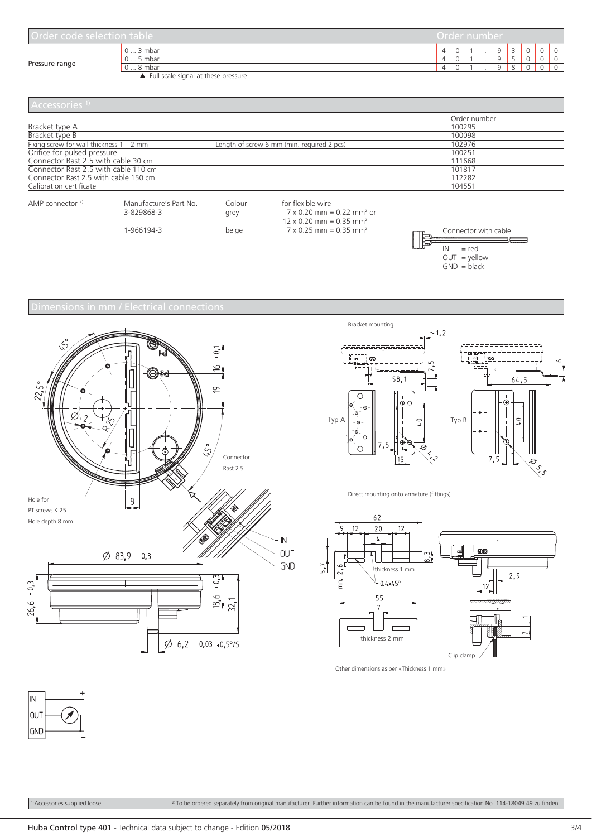| Order code selection table |                                     | Order number |  |          |  |  |
|----------------------------|-------------------------------------|--------------|--|----------|--|--|
|                            | $0$ 3 mbar                          | Δ            |  | $\Omega$ |  |  |
|                            | $05$ mbar                           | 4            |  | $\Omega$ |  |  |
| Pressure range             | $08$ mbar                           | Δ            |  | $\Omega$ |  |  |
|                            | Full scale signal at these pressure |              |  |          |  |  |

| Accessories <sup>1)</sup>                  |                                            |              |  |
|--------------------------------------------|--------------------------------------------|--------------|--|
|                                            |                                            | Order number |  |
| Bracket type A                             |                                            | 100295       |  |
| Bracket type B                             |                                            | 100098       |  |
| Fixing screw for wall thickness $1 - 2$ mm | Length of screw 6 mm (min. required 2 pcs) | 102976       |  |
| Orifice for pulsed pressure                |                                            | 100251       |  |
| Connector Rast 2.5 with cable 30 cm        |                                            | 111668       |  |
| Connector Rast 2.5 with cable 110 cm       |                                            | 101817       |  |
| Connector Rast 2.5 with cable 150 cm       |                                            | 112282       |  |
| Calibration certificate                    |                                            | 104551       |  |
|                                            |                                            |              |  |

| AMP connector $2$ | Manufacture's Part No. | Eolour | for flexible wire                            |                                 |
|-------------------|------------------------|--------|----------------------------------------------|---------------------------------|
|                   | 3-829868-3             | grey   | $7 \times 0.20$ mm = 0.22 mm <sup>2</sup> or |                                 |
|                   |                        |        | $12 \times 0.20$ mm = 0.35 mm <sup>2</sup>   |                                 |
|                   | -966194-3              | beige  | $7 \times 0.25$ mm = 0.35 mm <sup>2</sup>    | Connector with cable<br>$-$ rod |









Direct mounting onto armature (fittings)



Other dimensions as per «Thickness 1 mm»



 $10$  Accessories supplied loose 2) To be ordered separately from original manufacturer. Further information can be found in the manufacturer specification No. 114-18049.49 zu finden.